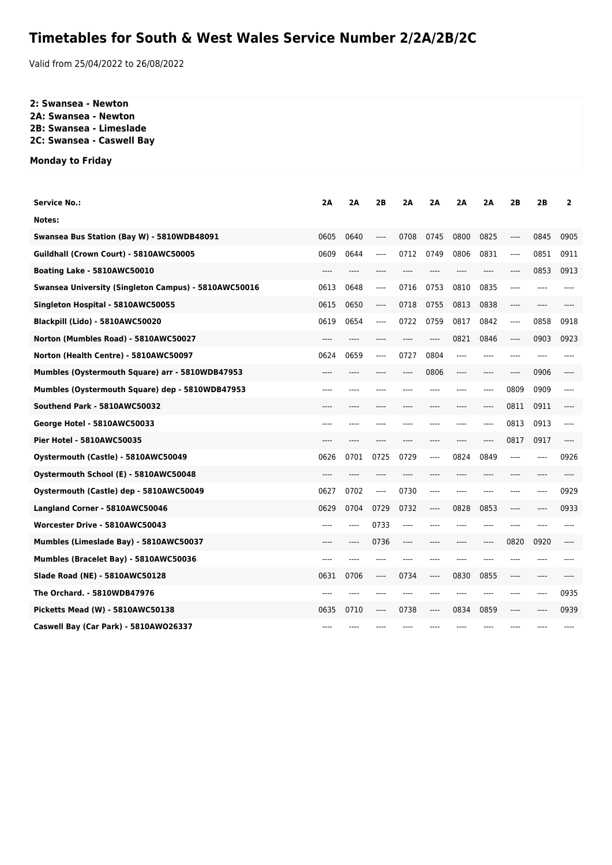## **Timetables for South & West Wales Service Number 2/2A/2B/2C**

Valid from 25/04/2022 to 26/08/2022

## **2: Swansea - Newton 2A: Swansea - Newton 2B: Swansea - Limeslade 2C: Swansea - Caswell Bay**

**Monday to Friday**

| <b>Service No.:</b>                                  | 2A    | 2A    | 2B    | 2A   | 2Α   | 2Α   | 2A      | 2B    | 2B   | $\overline{2}$ |
|------------------------------------------------------|-------|-------|-------|------|------|------|---------|-------|------|----------------|
| Notes:                                               |       |       |       |      |      |      |         |       |      |                |
| Swansea Bus Station (Bay W) - 5810WDB48091           | 0605  | 0640  | ----  | 0708 | 0745 | 0800 | 0825    | ----  | 0845 | 0905           |
| Guildhall (Crown Court) - 5810AWC50005               | 0609  | 0644  | ----  | 0712 | 0749 | 0806 | 0831    | $---$ | 0851 | 0911           |
| Boating Lake - 5810AWC50010                          | ----  | ----  |       |      |      | ---- | ----    | ----  | 0853 | 0913           |
| Swansea University (Singleton Campus) - 5810AWC50016 | 0613  | 0648  | ----  | 0716 | 0753 | 0810 | 0835    | ----  |      |                |
| Singleton Hospital - 5810AWC50055                    | 0615  | 0650  | ----  | 0718 | 0755 | 0813 | 0838    | ----  | ---- |                |
| Blackpill (Lido) - 5810AWC50020                      | 0619  | 0654  | ----  | 0722 | 0759 | 0817 | 0842    | ----  | 0858 | 0918           |
| Norton (Mumbles Road) - 5810AWC50027                 | ----  | ----  | ----  | ---- | ---- | 0821 | 0846    | ----  | 0903 | 0923           |
| Norton (Health Centre) - 5810AWC50097                | 0624  | 0659  | ----  | 0727 | 0804 | ---- | ----    | ----  |      |                |
| Mumbles (Oystermouth Square) arr - 5810WDB47953      | $---$ |       | ----  | ---- | 0806 | ---- | $---$   | ----  | 0906 | ----           |
| Mumbles (Oystermouth Square) dep - 5810WDB47953      | ----  | ----  |       |      |      | ---- | ----    | 0809  | 0909 | ----           |
| Southend Park - 5810AWC50032                         | ----  |       |       |      |      | ---- | ----    | 0811  | 0911 | ----           |
| George Hotel - 5810AWC50033                          | ----  | ----  | ----  | ---- | ---- | ---- | ----    | 0813  | 0913 | ----           |
| <b>Pier Hotel - 5810AWC50035</b>                     | $---$ | $---$ | $---$ | ---- | ---- | ---- | $-----$ | 0817  | 0917 | ----           |
| Oystermouth (Castle) - 5810AWC50049                  | 0626  | 0701  | 0725  | 0729 | ---- | 0824 | 0849    | ----  | ---- | 0926           |
| Oystermouth School (E) - 5810AWC50048                | $---$ | $---$ | ----  | ---- | ---- | ---- | ----    | $---$ | ---- | ----           |
| Oystermouth (Castle) dep - 5810AWC50049              | 0627  | 0702  | $---$ | 0730 | ---- | ---- | ----    | ----  | ---- | 0929           |
| Langland Corner - 5810AWC50046                       | 0629  | 0704  | 0729  | 0732 | ---- | 0828 | 0853    | ----  | ---- | 0933           |
| Worcester Drive - 5810AWC50043                       | ----  | $---$ | 0733  | ---- |      |      | ----    | ----  | ---- |                |
| Mumbles (Limeslade Bay) - 5810AWC50037               | ----  | $---$ | 0736  | ---- |      | ---- | $---$   | 0820  | 0920 | ----           |
| Mumbles (Bracelet Bay) - 5810AWC50036                | ----  | ----  | ----  | ---- |      | ---- | ----    | ----  | ---- |                |
| Slade Road (NE) - 5810AWC50128                       | 0631  | 0706  | ----  | 0734 | ---- | 0830 | 0855    | ----  | ---- |                |
| The Orchard. - 5810WDB47976                          | ----  | ----  |       |      |      | ---- | ----    | ----  | ---- | 0935           |
| Picketts Mead (W) - 5810AWC50138                     | 0635  | 0710  | ----  | 0738 | ---- | 0834 | 0859    | ----  |      | 0939           |
| Caswell Bay (Car Park) - 5810AW026337                | ----  |       |       |      |      |      |         |       |      |                |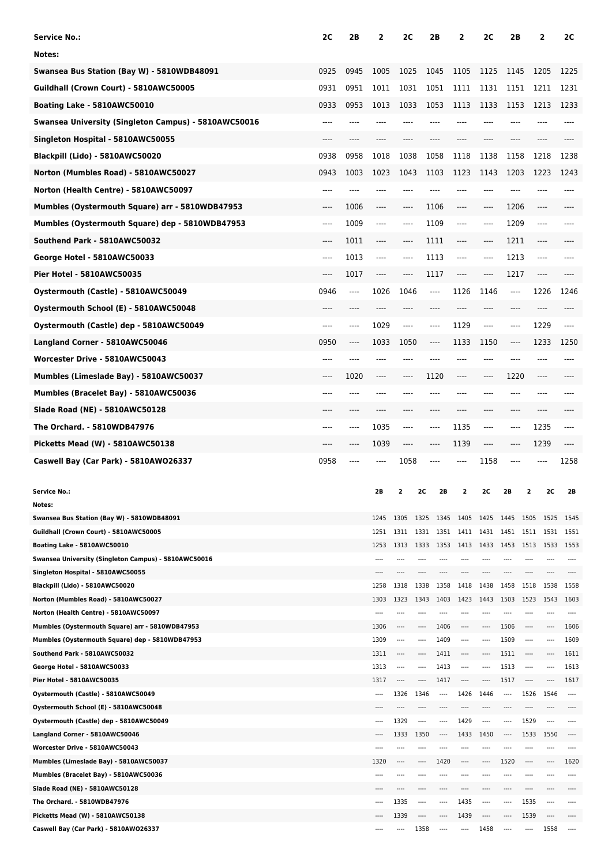| <b>Service No.:</b>                                                  | 2C   | 2B       | 2             | 2C               |                  | 2Β               | 2                | 2C             | 2Β               |               | 2                    | 2C             |
|----------------------------------------------------------------------|------|----------|---------------|------------------|------------------|------------------|------------------|----------------|------------------|---------------|----------------------|----------------|
| Notes:                                                               |      |          |               |                  |                  |                  |                  |                |                  |               |                      |                |
| Swansea Bus Station (Bay W) - 5810WDB48091                           | 0925 | 0945     | 1005          | 1025             |                  | 1045             | 1105             | 1125           | 1145             |               | 1205                 | 1225           |
| Guildhall (Crown Court) - 5810AWC50005                               | 0931 | 0951     | 1011          | 1031             |                  | 1051             | 1111             | 1131           | 1151             |               | 1211                 | 1231           |
| Boating Lake - 5810AWC50010                                          | 0933 | 0953     | 1013          | 1033             |                  | 1053             | 1113             | 1133           | 1153             |               | 1213                 | 1233           |
| Swansea University (Singleton Campus) - 5810AWC50016                 | ---- |          | ----          | ----             |                  | ----             |                  |                | ----             |               | ----                 |                |
| Singleton Hospital - 5810AWC50055                                    |      |          |               |                  |                  |                  |                  |                |                  |               |                      |                |
| Blackpill (Lido) - 5810AWC50020                                      | 0938 | 0958     | 1018          | 1038             |                  | 1058             | 1118             | 1138           | 1158             |               | 1218                 | 1238           |
| Norton (Mumbles Road) - 5810AWC50027                                 | 0943 | 1003     | 1023          | 1043             |                  | 1103             | 1123             | 1143           | 1203             |               | 1223                 | 1243           |
| Norton (Health Centre) - 5810AWC50097                                | ---- | ----     | ----          | ----             |                  | ----             | ----             |                | ----             |               | ----                 | ----           |
| Mumbles (Oystermouth Square) arr - 5810WDB47953                      | ---- | 1006     | ----          | ----             |                  | 1106             | ----             | ----           | 1206             |               | ----                 |                |
|                                                                      |      |          |               |                  |                  |                  |                  |                |                  |               |                      |                |
| Mumbles (Oystermouth Square) dep - 5810WDB47953                      | ---- | 1009     | ----          | ----             |                  | 1109             | ----             | $-----$        | 1209             |               | ----                 | ----           |
| Southend Park - 5810AWC50032                                         | ---- | 1011     | ----          | ----             |                  | 1111             | ----             | ----           | 1211             |               | ----                 |                |
| George Hotel - 5810AWC50033                                          | ---- | 1013     | $---$         | ----             |                  | 1113             | ----             | ----           | 1213             |               | $---$                |                |
| Pier Hotel - 5810AWC50035                                            | ---- | 1017     | ----          | ----             |                  | 1117             | ----             | ----           | 1217             |               | ----                 |                |
| Oystermouth (Castle) - 5810AWC50049                                  | 0946 | $\cdots$ | 1026          | 1046             |                  | ----             | 1126             | 1146           | ----             |               | 1226                 | 1246           |
| Oystermouth School (E) - 5810AWC50048                                | ---- | ----     | ----          | ----             |                  | ----             | ----             | ----           | ----             |               | $---$                | ----           |
| Oystermouth (Castle) dep - 5810AWC50049                              | ---- | ----     | 1029          | ----             |                  | ----             | 1129             | ----           | ----             |               | 1229                 | $---$          |
| Langland Corner - 5810AWC50046                                       | 0950 | ----     | 1033          | 1050             |                  | ----             | 1133             | 1150           | ----             |               | 1233                 | 1250           |
| Worcester Drive - 5810AWC50043                                       | ---- |          | ----          | ----             |                  | ----             |                  |                | ----             |               | ----                 | ----           |
| Mumbles (Limeslade Bay) - 5810AWC50037                               | ---- | 1020     | ----          | ----             |                  | 1120             | ----             | ----           | 1220             |               | ----                 |                |
| Mumbles (Bracelet Bay) - 5810AWC50036                                |      |          | ----          | ----             |                  | ----             |                  |                | ----             |               | ----                 |                |
| Slade Road (NE) - 5810AWC50128                                       |      |          | ----          |                  |                  |                  |                  |                |                  |               |                      |                |
| The Orchard. - 5810WDB47976                                          |      |          |               |                  |                  |                  | 1135             |                |                  |               |                      |                |
|                                                                      | ---- | ----     | 1035          | ----             |                  | ----             |                  | ----           | ----             |               | 1235                 | $---$          |
| Picketts Mead (W) - 5810AWC50138                                     | ---- | ----     | 1039          | ----             |                  | ----             | 1139             | ----           | ----             |               | 1239                 |                |
| Caswell Bay (Car Park) - 5810AWO26337                                | 0958 | $---$    | ----          | 1058             |                  | ----             |                  | 1158           | ----             |               |                      | 1258           |
|                                                                      |      |          |               |                  |                  | 2B               |                  |                |                  |               |                      |                |
| <b>Service No.:</b><br>Notes:                                        |      |          | 2Β            |                  |                  |                  |                  |                |                  |               | 20                   | 2В             |
| Swansea Bus Station (Bay W) - 5810WDB48091                           |      |          | 1245          | 1305             | 1325             | 1345             | 1405             | 1425 1445 1505 |                  |               | 1525                 | 1545           |
| Guildhall (Crown Court) - 5810AWC50005                               |      |          | 1251          | 1311             | 1331             | 1351             | 1411             | 1431           | 1451             | 1511          | 1531                 | 1551           |
| Boating Lake - 5810AWC50010                                          |      |          | 1253          | 1313             | 1333             | 1353             | 1413             | 1433           | 1453             | 1513          | 1533                 | 1553           |
| Swansea University (Singleton Campus) - 5810AWC50016                 |      |          | ----          | ----             |                  | ----             | ----             | ----           | ----             | ----          | ----                 | ----           |
| Singleton Hospital - 5810AWC50055<br>Blackpill (Lido) - 5810AWC50020 |      |          | 1258          | 1318             | 1338             | 1358             | 1418             | ----<br>1438   | 1458             | ----<br>1518  | 1538                 | 1558           |
| Norton (Mumbles Road) - 5810AWC50027                                 |      |          | 1303          | 1323             | 1343             | 1403             | 1423             | 1443           | 1503             | 1523          | 1543                 | 1603           |
| Norton (Health Centre) - 5810AWC50097                                |      |          | ----          | ----             |                  | ----             | ----             | ----           |                  | ----          | $---$                |                |
| Mumbles (Oystermouth Square) arr - 5810WDB47953                      |      |          | 1306          | $-- -$           | ----             | 1406             | $---$            | ----           | 1506             | ----          | ----                 | 1606           |
| Mumbles (Oystermouth Square) dep - 5810WDB47953                      |      |          | 1309          | $\frac{1}{2}$    |                  | 1409             | $\sim$           | ----           | 1509             | $---$         | $\sim$               | 1609           |
| Southend Park - 5810AWC50032                                         |      |          | 1311          | ----             |                  | 1411             | ----             | ----           | 1511             | $\cdots$      | $\sim$ $\sim$ $\sim$ | 1611           |
| George Hotel - 5810AWC50033                                          |      |          | 1313          | 1.111            |                  | 1413             | ----             | ----           | 1513             | ----          |                      | 1613           |
| Pier Hotel - 5810AWC50035<br>Oystermouth (Castle) - 5810AWC50049     |      |          | 1317<br>$---$ | $\cdots$<br>1326 | $\cdots$<br>1346 | 1417<br>$\cdots$ | $\cdots$<br>1426 | ----<br>1446   | 1517<br>$\cdots$ | $---$<br>1526 | $---$<br>1546        | 1617<br>$\sim$ |
| Oystermouth School (E) - 5810AWC50048                                |      |          |               |                  |                  |                  |                  |                |                  |               |                      |                |
|                                                                      |      |          |               | 1329             | ----             | ----             | 1429             | ----           |                  | 1529          |                      |                |
| Oystermouth (Castle) dep - 5810AWC50049                              |      |          | $---$         |                  |                  |                  |                  |                |                  |               |                      |                |
| Langland Corner - 5810AWC50046                                       |      |          | ----          | 1333             | 1350             | ----             | 1433             | 1450           | ----             | 1533          | 1550                 | ----           |
| Worcester Drive - 5810AWC50043                                       |      |          |               |                  |                  |                  |                  |                |                  |               |                      |                |
| Mumbles (Limeslade Bay) - 5810AWC50037                               |      |          | 1320          |                  |                  | 1420             |                  | ----           | 1520             |               |                      | 1620           |
| Mumbles (Bracelet Bay) - 5810AWC50036                                |      |          |               |                  |                  |                  |                  |                |                  |               |                      |                |
| Slade Road (NE) - 5810AWC50128<br>The Orchard. - 5810WDB47976        |      |          |               | 1335             |                  | ----             | 1435             | ----<br>----   |                  | 1535          |                      | ----           |
| Picketts Mead (W) - 5810AWC50138                                     |      |          |               | 1339             |                  |                  | 1439             | ----           |                  | 1539          |                      |                |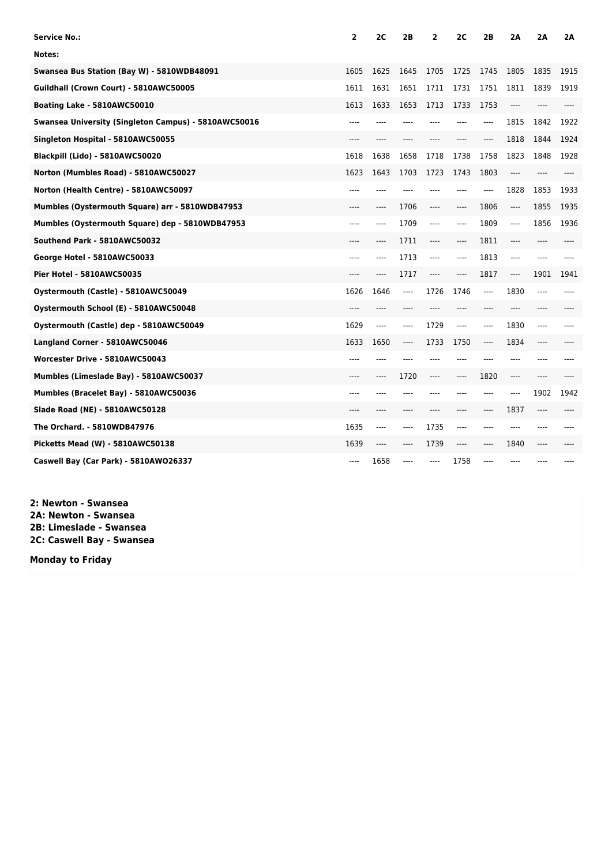| <b>Service No.:</b>                                  | 2         | 2C    | 2B    | 2     | 2C                            | 2B    | 2Α      | 2A    | 2A   |
|------------------------------------------------------|-----------|-------|-------|-------|-------------------------------|-------|---------|-------|------|
| Notes:                                               |           |       |       |       |                               |       |         |       |      |
| Swansea Bus Station (Bay W) - 5810WDB48091           | 1605      | 1625  | 1645  | 1705  | 1725                          | 1745  | 1805    | 1835  | 1915 |
| Guildhall (Crown Court) - 5810AWC50005               | 1611      | 1631  | 1651  | 1711  | 1731                          | 1751  | 1811    | 1839  | 1919 |
| Boating Lake - 5810AWC50010                          | 1613      | 1633  | 1653  | 1713  | 1733                          | 1753  | $---$   | $---$ |      |
| Swansea University (Singleton Campus) - 5810AWC50016 |           |       |       |       |                               | ----  | 1815    | 1842  | 1922 |
| Singleton Hospital - 5810AWC50055                    |           |       |       |       |                               | ----  | 1818    | 1844  | 1924 |
| Blackpill (Lido) - 5810AWC50020                      | 1618      | 1638  | 1658  | 1718  | 1738                          | 1758  | 1823    | 1848  | 1928 |
| Norton (Mumbles Road) - 5810AWC50027                 | 1623      | 1643  | 1703  | 1723  | 1743                          | 1803  | ----    |       |      |
| Norton (Health Centre) - 5810AWC50097                | ----      |       | ----  |       | $---$                         | ----  | 1828    | 1853  | 1933 |
| Mumbles (Oystermouth Square) arr - 5810WDB47953      |           | $---$ | 1706  | ----  | $-----$                       | 1806  | $---$   | 1855  | 1935 |
| Mumbles (Oystermouth Square) dep - 5810WDB47953      | ----      | $---$ | 1709  | ----  | $-----$                       | 1809  | ----    | 1856  | 1936 |
| Southend Park - 5810AWC50032                         | ----      | $---$ | 1711  | ----  | $---$                         | 1811  | $---$   | ----  | ---- |
| George Hotel - 5810AWC50033                          |           | $---$ | 1713  | ----  | $---$                         | 1813  | ----    | $---$ |      |
| Pier Hotel - 5810AWC50035                            | ----      | $---$ | 1717  | ----  | $---$                         | 1817  | $-----$ | 1901  | 1941 |
| Oystermouth (Castle) - 5810AWC50049                  | 1626      | 1646  | ----  | 1726  | 1746                          | $---$ | 1830    | $---$ |      |
| Oystermouth School (E) - 5810AWC50048                | $- - - -$ |       |       |       |                               | ----  | ----    |       |      |
| Oystermouth (Castle) dep - 5810AWC50049              | 1629      | $---$ | ----  | 1729  | $---$                         | $---$ | 1830    | $---$ | ---- |
| Langland Corner - 5810AWC50046                       | 1633      | 1650  | ----  | 1733  | 1750                          | ----  | 1834    |       |      |
| Worcester Drive - 5810AWC50043                       | ----      | $---$ | $---$ | $---$ | $---$                         | $---$ | $---$   | $---$ |      |
| Mumbles (Limeslade Bay) - 5810AWC50037               |           | ----  | 1720  | ----  | $\hspace{1.5cm} \textbf{---}$ | 1820  | $-----$ | $---$ |      |
| Mumbles (Bracelet Bay) - 5810AWC50036                | $- - - -$ |       |       | ----  | $---$                         | ----  | ----    | 1902  | 1942 |
| <b>Slade Road (NE) - 5810AWC50128</b>                | ----      | $---$ | ----  | ----  | $---$                         | $---$ | 1837    | $---$ |      |
| The Orchard. - 5810WDB47976                          | 1635      | $---$ | ----  | 1735  | $-----$                       | ----  | ----    | ----  |      |
| Picketts Mead (W) - 5810AWC50138                     | 1639      | $---$ | $---$ | 1739  | $---$                         | $---$ | 1840    | $---$ |      |
| Caswell Bay (Car Park) - 5810AWO26337                | ----      | 1658  | ----  | ----  | 1758                          | ----  |         |       |      |

**2: Newton - Swansea 2A: Newton - Swansea 2B: Limeslade - Swansea 2C: Caswell Bay - Swansea**

**Monday to Friday**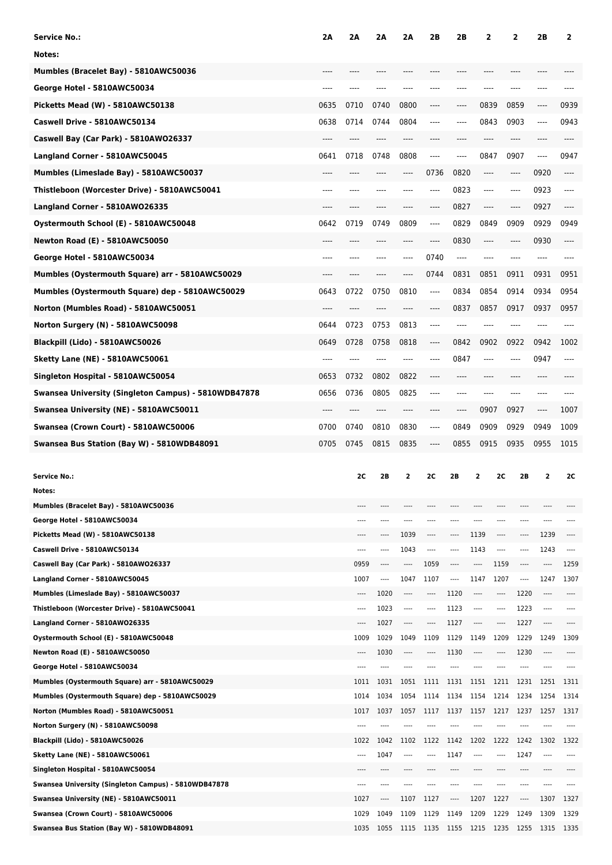| <b>Service No.:</b>                                                                | 2Α   | 2Α            | 2A           | 2Α            | 2Β                       | 2Β           | 2            |                 | 2            | 2Β            | 2            |
|------------------------------------------------------------------------------------|------|---------------|--------------|---------------|--------------------------|--------------|--------------|-----------------|--------------|---------------|--------------|
| Notes:                                                                             |      |               |              |               |                          |              |              |                 |              |               |              |
| Mumbles (Bracelet Bay) - 5810AWC50036                                              |      |               |              |               |                          |              |              |                 |              |               |              |
| George Hotel - 5810AWC50034                                                        | ---- | ----          |              |               |                          | ----         | ----         |                 | ----         | ----          |              |
| Picketts Mead (W) - 5810AWC50138                                                   | 0635 | 0710          | 0740         | 0800          | ----                     | ----         | 0839         |                 | 0859         | ----          | 0939         |
|                                                                                    |      |               | 0744         |               |                          |              |              |                 |              |               |              |
| Caswell Drive - 5810AWC50134                                                       | 0638 | 0714          |              | 0804          | ----                     | ----         | 0843         |                 | 0903         | ----          | 0943         |
| Caswell Bay (Car Park) - 5810AWO26337                                              |      |               | ----         | ----          |                          |              | ----         |                 | ----         |               |              |
| Langland Corner - 5810AWC50045                                                     | 0641 | 0718          | 0748         | 0808          | ----                     | ----         | 0847         |                 | 0907         | ----          | 0947         |
| Mumbles (Limeslade Bay) - 5810AWC50037                                             | ---- | ----          | ----         | ----          | 0736                     | 0820         | ----         |                 | ----         | 0920          | ----         |
| Thistleboon (Worcester Drive) - 5810AWC50041                                       | ---- | ----          |              |               | ----                     | 0823         | ----         |                 | ----         | 0923          | ----         |
| Langland Corner - 5810AWO26335                                                     |      | ----          |              |               | ----                     | 0827         | ----         |                 | ----         | 0927          | ----         |
| Oystermouth School (E) - 5810AWC50048                                              | 0642 | 0719          | 0749         | 0809          | ----                     | 0829         | 0849         |                 | 0909         | 0929          | 0949         |
| <b>Newton Road (E) - 5810AWC50050</b>                                              | ---- | ----          |              | ----          | ----                     | 0830         | ----         |                 | ----         | 0930          | ----         |
| George Hotel - 5810AWC50034                                                        | ---- | ----          | ----         | ----          | 0740                     | $---$        | ----         |                 | ----         | ----          |              |
| Mumbles (Oystermouth Square) arr - 5810AWC50029                                    |      |               |              | ----          | 0744                     | 0831         | 0851         |                 | 0911         | 0931          | 0951         |
| Mumbles (Oystermouth Square) dep - 5810AWC50029                                    | 0643 | 0722          | 0750         | 0810          | $-----$                  | 0834         | 0854         |                 | 0914         | 0934          | 0954         |
| Norton (Mumbles Road) - 5810AWC50051                                               | ---- | ----          | ----         | ----          | ----                     | 0837         | 0857         |                 | 0917         | 0937          | 0957         |
| Norton Surgery (N) - 5810AWC50098                                                  | 0644 | 0723          | 0753         |               |                          |              |              |                 |              |               |              |
|                                                                                    |      |               |              | 0813          | ----                     |              |              |                 |              |               |              |
| Blackpill (Lido) - 5810AWC50026                                                    | 0649 | 0728          | 0758         | 0818          | ----                     | 0842         | 0902         |                 | 0922         | 0942          | 1002         |
| Sketty Lane (NE) - 5810AWC50061                                                    | ---- | ----          | ----         | ----          | ----                     | 0847         | ----         |                 | ----         | 0947          | ----         |
| Singleton Hospital - 5810AWC50054                                                  | 0653 | 0732          | 0802         | 0822          | ----                     | ----         | ----         |                 | ----         | ----          |              |
| Swansea University (Singleton Campus) - 5810WDB47878                               | 0656 | 0736          | 0805         | 0825          | ----                     | ----         | ----         |                 | ----         | ----          |              |
| Swansea University (NE) - 5810AWC50011                                             |      | ----          |              | ----          |                          | ----         | 0907         |                 | 0927         | ----          | 1007         |
| Swansea (Crown Court) - 5810AWC50006                                               | 0700 | 0740          | 0810         | 0830          | $-----$                  | 0849         | 0909         |                 | 0929         | 0949          | 1009         |
| Swansea Bus Station (Bay W) - 5810WDB48091                                         | 0705 | 0745          | 0815         | 0835          | ----                     | 0855         | 0915         |                 | 0935         | 0955          | 1015         |
|                                                                                    |      |               |              |               |                          |              |              |                 |              |               |              |
|                                                                                    |      |               |              |               |                          |              |              |                 |              |               |              |
| <b>Service No.:</b>                                                                |      | 2C            | 2B           | 2             | <b>2C</b>                | 2B           | 2            | 2C              | 2B           | 2             | 2C           |
| Notes:                                                                             |      |               |              |               |                          |              |              |                 |              |               |              |
| Mumbles (Bracelet Bay) - 5810AWC50036                                              |      |               |              |               | ----                     |              |              |                 |              |               |              |
| George Hotel - 5810AWC50034                                                        |      | ----          | ----         | ----          | ----                     | $- - - -$    | ----         | ----            | ----         | ----          |              |
| Picketts Mead (W) - 5810AWC50138                                                   |      | $- - - -$     | ----         | 1039          | $^{***}$                 | ----         | 1139         | $\cdots$        | ----         | 1239          | $---$        |
| Caswell Drive - 5810AWC50134                                                       |      | $---$         | ----         | 1043          | $\overline{\phantom{a}}$ | ----         | 1143         | ----            | ----         | 1243          | $\cdots$     |
| Caswell Bay (Car Park) - 5810AW026337                                              |      | 0959          | ----         | ----          | 1059                     | ----         | ----         | 1159            | ----         | ----          | 1259         |
| Langland Corner - 5810AWC50045                                                     |      | 1007          | ----         | 1047          | 1107                     | ----         | 1147         | 1207            | ----         | 1247          | 1307         |
| Mumbles (Limeslade Bay) - 5810AWC50037                                             |      | ----<br>$---$ | 1020         | ----<br>$---$ | ----<br>$^{***}$         | 1120         | ----         | ----<br>$-----$ | 1220         | ----<br>$---$ | $---$        |
| Thistleboon (Worcester Drive) - 5810AWC50041                                       |      |               | 1023<br>1027 | ----          | ----                     | 1123<br>1127 | ----         | ----            | 1223<br>1227 | ----          |              |
| Langland Corner - 5810AWO26335<br>Oystermouth School (E) - 5810AWC50048            |      | 1009          | 1029         | 1049          | 1109                     | 1129         | 1149         | 1209            | 1229         | 1249          | 1309         |
| <b>Newton Road (E) - 5810AWC50050</b>                                              |      |               | 1030         | ----          | ----                     | 1130         |              | ----            | 1230         | ----          |              |
| George Hotel - 5810AWC50034                                                        |      | $---$         | ----         | ----          | ----                     |              |              | ----            |              | ----          | ----         |
| Mumbles (Oystermouth Square) arr - 5810AWC50029                                    |      | 1011          | 1031         | 1051          | 1111                     | 1131         | 1151         | 1211            | 1231         | 1251          | 1311         |
| Mumbles (Oystermouth Square) dep - 5810AWC50029                                    |      | 1014          | 1034         | 1054          | 1114                     | 1134         | 1154         | 1214            | 1234         | 1254          | 1314         |
| Norton (Mumbles Road) - 5810AWC50051                                               |      | 1017          | 1037         | 1057          | 1117                     | 1137         | 1157         | 1217            | 1237         | 1257          | 1317         |
| Norton Surgery (N) - 5810AWC50098                                                  |      |               |              | ----          | ----                     |              |              |                 |              | ----          |              |
| Blackpill (Lido) - 5810AWC50026                                                    |      | 1022          | 1042         | 1102          | 1122                     | 1142         | 1202         | 1222            | 1242         | 1302          | 1322         |
| <b>Sketty Lane (NE) - 5810AWC50061</b>                                             |      | ----          | 1047         | ----          | ----                     | 1147         |              | ----            | 1247         | ----          |              |
| Singleton Hospital - 5810AWC50054                                                  |      |               | ----         |               | ----                     | ----         |              | ----            |              | ----          |              |
| Swansea University (Singleton Campus) - 5810WDB47878                               |      | ----          | ----         |               | ----                     |              |              |                 |              | ----          |              |
| Swansea University (NE) - 5810AWC50011                                             |      | 1027          | ----         | 1107          | 1127                     | ----         | 1207         | 1227            | ----         | 1307          | 1327         |
| Swansea (Crown Court) - 5810AWC50006<br>Swansea Bus Station (Bay W) - 5810WDB48091 |      | 1029<br>1035  | 1049<br>1055 | 1109<br>1115  | 1129<br>1135             | 1149<br>1155 | 1209<br>1215 | 1229<br>1235    | 1249<br>1255 | 1309<br>1315  | 1329<br>1335 |